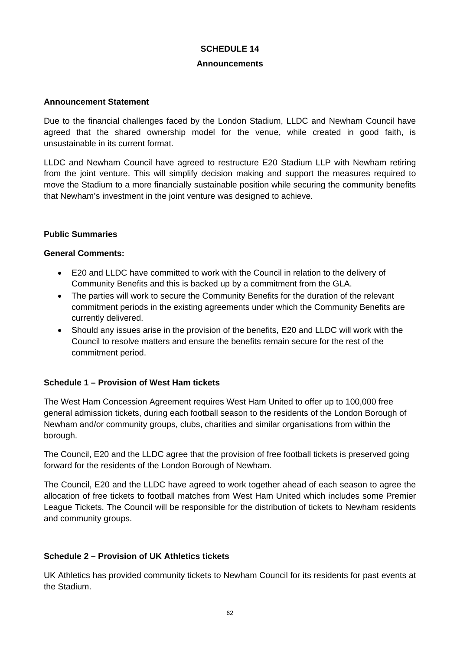## **SCHEDULE 14**

#### **Announcements**

### **Announcement Statement**

Due to the financial challenges faced by the London Stadium, LLDC and Newham Council have agreed that the shared ownership model for the venue, while created in good faith, is unsustainable in its current format.

LLDC and Newham Council have agreed to restructure E20 Stadium LLP with Newham retiring from the joint venture. This will simplify decision making and support the measures required to move the Stadium to a more financially sustainable position while securing the community benefits that Newham's investment in the joint venture was designed to achieve.

### **Public Summaries**

### **General Comments:**

- E20 and LLDC have committed to work with the Council in relation to the delivery of Community Benefits and this is backed up by a commitment from the GLA.
- The parties will work to secure the Community Benefits for the duration of the relevant commitment periods in the existing agreements under which the Community Benefits are currently delivered.
- Should any issues arise in the provision of the benefits, E20 and LLDC will work with the Council to resolve matters and ensure the benefits remain secure for the rest of the commitment period.

# **Schedule 1 – Provision of West Ham tickets**

The West Ham Concession Agreement requires West Ham United to offer up to 100,000 free general admission tickets, during each football season to the residents of the London Borough of Newham and/or community groups, clubs, charities and similar organisations from within the borough.

The Council, E20 and the LLDC agree that the provision of free football tickets is preserved going forward for the residents of the London Borough of Newham.

The Council, E20 and the LLDC have agreed to work together ahead of each season to agree the allocation of free tickets to football matches from West Ham United which includes some Premier League Tickets. The Council will be responsible for the distribution of tickets to Newham residents and community groups.

# **Schedule 2 – Provision of UK Athletics tickets**

UK Athletics has provided community tickets to Newham Council for its residents for past events at the Stadium.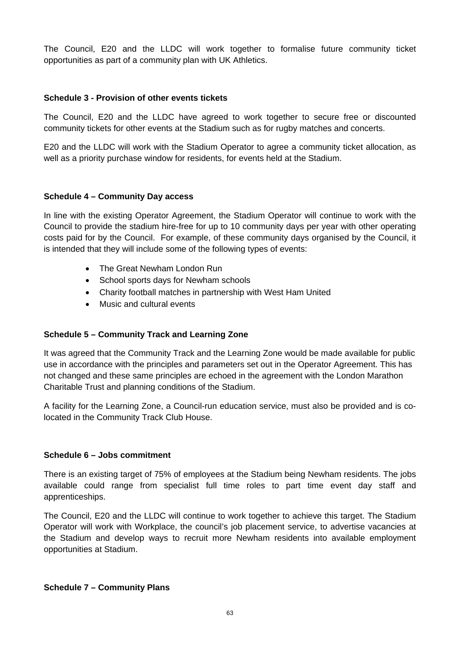The Council, E20 and the LLDC will work together to formalise future community ticket opportunities as part of a community plan with UK Athletics.

## **Schedule 3 - Provision of other events tickets**

The Council, E20 and the LLDC have agreed to work together to secure free or discounted community tickets for other events at the Stadium such as for rugby matches and concerts.

E20 and the LLDC will work with the Stadium Operator to agree a community ticket allocation, as well as a priority purchase window for residents, for events held at the Stadium.

### **Schedule 4 – Community Day access**

In line with the existing Operator Agreement, the Stadium Operator will continue to work with the Council to provide the stadium hire-free for up to 10 community days per year with other operating costs paid for by the Council. For example, of these community days organised by the Council, it is intended that they will include some of the following types of events:

- The Great Newham London Run
- School sports days for Newham schools
- Charity football matches in partnership with West Ham United
- Music and cultural events

# **Schedule 5 – Community Track and Learning Zone**

It was agreed that the Community Track and the Learning Zone would be made available for public use in accordance with the principles and parameters set out in the Operator Agreement. This has not changed and these same principles are echoed in the agreement with the London Marathon Charitable Trust and planning conditions of the Stadium.

A facility for the Learning Zone, a Council-run education service, must also be provided and is colocated in the Community Track Club House.

### **Schedule 6 – Jobs commitment**

There is an existing target of 75% of employees at the Stadium being Newham residents. The jobs available could range from specialist full time roles to part time event day staff and apprenticeships.

The Council, E20 and the LLDC will continue to work together to achieve this target. The Stadium Operator will work with Workplace, the council's job placement service, to advertise vacancies at the Stadium and develop ways to recruit more Newham residents into available employment opportunities at Stadium.

### **Schedule 7 – Community Plans**